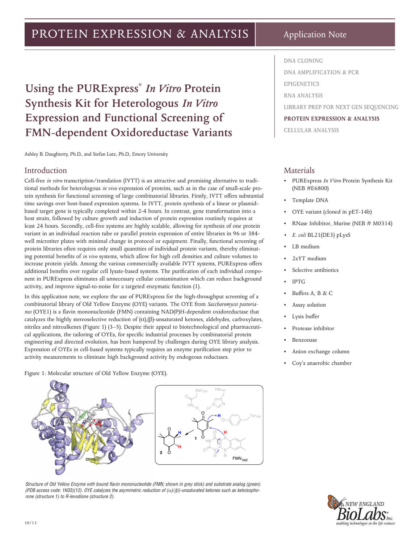# PROTEIN EXPRESSION & ANALYSIS

**Using the PURExpress®** *In Vitro* **Protein Synthesis Kit for Heterologous** *In Vitro*  **Expression and Functional Screening of FMN-dependent Oxidoreductase Variants**

Ashley B. Daughterty, Ph.D., and Stefan Lutz, Ph.D., Emory University

#### Introduction

Cell-free *in vitro* transcription/translation (IVTT) is an attractive and promising alternative to traditional methods for heterologous *in vivo* expression of proteins, such as in the case of small-scale protein synthesis for functional screening of large combinatorial libraries. Firstly, IVTT offers substantial time savings over host-based expression systems. In IVTT, protein synthesis of a linear or plasmidbased target gene is typically completed within 2-4 hours. In contrast, gene transformation into a host strain, followed by culture growth and induction of protein expression routinely requires at least 24 hours. Secondly, cell-free systems are highly scalable, allowing for synthesis of one protein variant in an individual reaction tube or parallel protein expression of entire libraries in 96 or 384 well microtiter plates with minimal change in protocol or equipment. Finally, functional screening of protein libraries often requires only small quantities of individual protein variants, thereby eliminating potential benefits of *in vivo* systems, which allow for high cell densities and culture volumes to increase protein yields. Among the various commercially available IVTT systems, PURExpress offers additional benefits over regular cell lysate-based systems. The purification of each individual component in PURExpress eliminates all unnecessary cellular contamination which can reduce background activity, and improve signal-to-noise for a targeted enzymatic function (1).

In this application note, we explore the use of PURExpress for the high-throughput screening of a combinatorial library of Old Yellow Enzyme (OYE) variants. The OYE from *Saccharomyces pastorianus* (OYE1) is a flavin mononucleotide (FMN) containing NAD(P)H-dependent oxidoreductase that catalyzes the highly stereoselective reduction of (α),(β)-unsaturated ketones, aldehydes, carboxylates, nitriles and nitroalkenes (Figure 1) (3–5). Despite their appeal to biotechnological and pharmaceutical applications, the tailoring of OYEs, for specific industrial processes by combinatorial protein engineering and directed evolution, has been hampered by challenges during OYE library analysis. Expression of OYEs in cell-based systems typically requires an enzyme purification step prior to activity measurements to eliminate high background activity by endogeous reductases.

Figure 1: Molecular structure of Old Yellow Enzyme (OYE).



*Structure of Old Yellow Enzyme with bound flavin mononucleotide (FMN; shown in grey stick) and substrate analog (green) (PDB access code: 1K03)(12). OYE catalyzes the asymmetric reduction of (*α*)/(*β*)-unsaturated ketones such as ketoisophorone (structure 1) to R-levodione (structure 2).*

Application Note

#### **DNA CLONING**

**DNA AMPLIFICATION & PCR**

**EPIGENETICS**

**RNA ANALYSIS**

**LIBRARY PREP FOR NEXT GEN SEQUENCING**

#### **PROTEIN EXPRESSION & ANALYSIS**

**CELLULAR ANALYSIS**

#### Materials

- PURExpress *In Vitro* Protein Synthesis Kit (NEB #E6800)
- Template DNA
- OYE variant (cloned in pET-14b)
- RNase Inhibitor, Murine (NEB # M0314)
- *• E. coli* BL21(DE3) pLysS
- LB medium
- 2xYT medium
- Selective antibiotics
- IPTG
- Buffers A, B & C
- Assay solution
- Lysis buffer
- Protease inhibitor
- **Benzonase**
- Anion exchange column
- Coy's anaerobic chamber

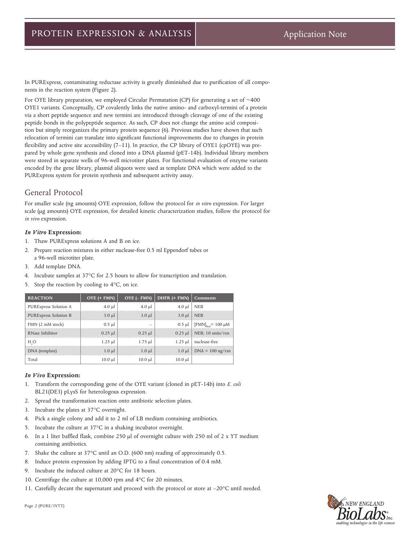In PURExpress, contaminating reductase activity is greatly diminished due to purification of all components in the reaction system (Figure 2).

For OYE library preparation, we employed Circular Permutation (CP) for generating a set of  $~400$ OYE1 variants. Conceptually, CP covalently links the native amino- and carboxyl-termini of a protein via a short peptide sequence and new termini are introduced through cleavage of one of the existing peptide bonds in the polypeptide sequence. As such, CP does not change the amino acid composition but simply reorganizes the primary protein sequence (6). Previous studies have shown that such relocation of termini can translate into significant functional improvements due to changes in protein flexibility and active site accessibility (7–11). In practice, the CP library of OYE1 (cpOYE) was prepared by whole gene synthesis and cloned into a DNA plasmid (pET-14b). Individual library members were stored in separate wells of 96-well microtiter plates. For functional evaluation of enzyme variants encoded by the gene library, plasmid aliquots were used as template DNA which were added to the PURExpress system for protein synthesis and subsequent activity assay.

## General Protocol

For smaller scale (ng amounts) OYE expression, follow the protocol for *in vitro* expression. For larger scale (µg amounts) OYE expression, for detailed kinetic characterization studies, follow the protocol for *in vivo* expression.

#### *In Vitro* **Expression:**

- 1. Thaw PURExpress solutions A and B on ice.
- 2. Prepare reaction mixtures in either nuclease-free 0.5 ml Eppendorf tubes or a 96-well microtiter plate.
- 3. Add template DNA.
- 4. Incubate samples at 37°C for 2.5 hours to allow for transcription and translation.
- 5. Stop the reaction by cooling to 4°C, on ice.

| <b>REACTION</b>              | $OYE$ (+ $FMN$ ) | $OYE$ ( $-HMN$ ) | DHFR (+ FMN) | <b>Comments</b>                               |
|------------------------------|------------------|------------------|--------------|-----------------------------------------------|
| PURExpress Solution A        | $4.0 \mu$        | $4.0 \mu$        | $4.0 \mu$    | <b>NEB</b>                                    |
| <b>PURExpress Solution B</b> | $3.0 \mu l$      | $3.0 \mu l$      | $3.0 \mu l$  | <b>NEB</b>                                    |
| FMN (2 mM stock)             | $0.5$ µl         |                  |              | 0.5 μl   [FMN] <sub><i>c</i>-1</sub> = 100 μM |
| RNase Inhibitor              | $0.25$ µl        | $0.25$ µl        | $0.25$ µl    | NEB; 10 units/rxn                             |
| H <sub>2</sub> O             | $1.25 \mu$       | $1.75 \mu$       | $1.25 \mu$   | nuclease-free                                 |
| DNA (template)               | $1.0 \mu l$      | $1.0 \mu$        | $1.0 \mu l$  | $DNA = 100$ ng/rxn                            |
| Total                        | $10.0 \mu l$     | $10.0 \mu$       | $10.0 \mu$   |                                               |

#### *In Vivo* **Expression:**

- 1. Transform the corresponding gene of the OYE variant (cloned in pET-14b) into *E. coli* BL21(DE3) pLysS for heterologous expression.
- 2. Spread the transformation reaction onto antibiotic selection plates.
- 3. Incubate the plates at 37°C overnight.
- 4. Pick a single colony and add it to 2 ml of LB medium containing antibiotics.
- 5. Incubate the culture at 37°C in a shaking incubator overnight.
- 6. In a 1 liter baffled flask, combine 250  $\mu$ l of overnight culture with 250 ml of 2 x YT medium containing antibiotics.
- 7. Shake the culture at 37°C until an O.D. (600 nm) reading of approximately 0.5.
- 8. Induce protein expression by adding IPTG to a final concentration of 0.4 mM.
- 9. Incubate the induced culture at 20°C for 18 hours.
- 10. Centrifuge the culture at 10,000 rpm and 4°C for 20 minutes.
- 11. Carefully decant the supernatant and proceed with the protocol or store at –20°C until needed.



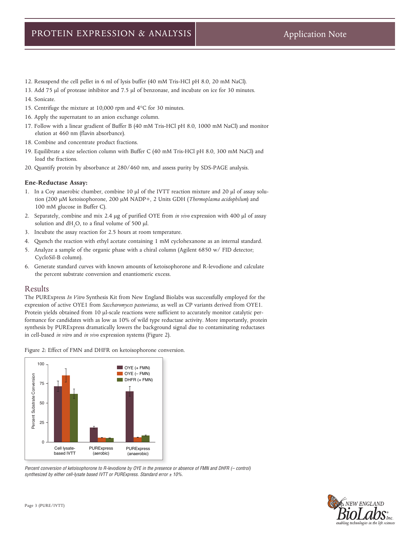- 12. Resuspend the cell pellet in 6 ml of lysis buffer (40 mM Tris-HCl pH 8.0, 20 mM NaCl).
- 13. Add 75 µl of protease inhibitor and 7.5 µl of benzonase, and incubate on ice for 30 minutes.
- 14. Sonicate.
- 15. Centrifuge the mixture at 10,000 rpm and 4°C for 30 minutes.
- 16. Apply the supernatant to an anion exchange column.
- 17. Follow with a linear gradient of Buffer B (40 mM Tris-HCl pH 8.0, 1000 mM NaCl) and monitor elution at 460 nm (flavin absorbance).
- 18. Combine and concentrate product fractions.
- 19. Equilibrate a size selection column with Buffer C (40 mM Tris-HCl pH 8.0, 300 mM NaCl) and load the fractions.
- 20. Quantify protein by absorbance at 280/460 nm, and assess purity by SDS-PAGE analysis.

#### **Ene-Reductase Assay:**

- 1. In a Coy anaerobic chamber, combine 10 µl of the IVTT reaction mixture and 20 µl of assay solution (200 µM ketoisophorone, 200 µM NADP+, 2 Units GDH (*Thermoplasma acidophilum*) and 100 mM glucose in Buffer C).
- 2. Separately, combine and mix 2.4 µg of purified OYE from *in vivo* expression with 400 µl of assay solution and  $dH_2O$ , to a final volume of 500  $\mu$ l.
- 3. Incubate the assay reaction for 2.5 hours at room temperature.
- 4. Quench the reaction with ethyl acetate containing 1 mM cyclohexanone as an internal standard.
- 5. Analyze a sample of the organic phase with a chiral column (Agilent 6850 w/ FID detector; CycloSil-B column).
- 6. Generate standard curves with known amounts of ketoisophorone and R-levodione and calculate the percent substrate conversion and enantiomeric excess.

### Results

The PURExpress *In Vitro* Synthesis Kit from New England Biolabs was successfully employed for the expression of active OYE1 from *Saccharomyces pastorianus*, as well as CP variants derived from OYE1. Protein yields obtained from 10  $\mu$ l-scale reactions were sufficient to accurately monitor catalytic performance for candidates with as low as 10% of wild type reductase activity. More importantly, protein synthesis by PURExpress dramatically lowers the background signal due to contaminating reductases in cell-based *in vitro* and *in vivo* expression systems (Figure 2).





Percent conversion of ketoisophorone to R-levodione by OYE in the presence or absence of FMN and DHFR (- control) *synthesized by either cell-lysate based IVTT or PURExpress. Standard error ± 10%.*

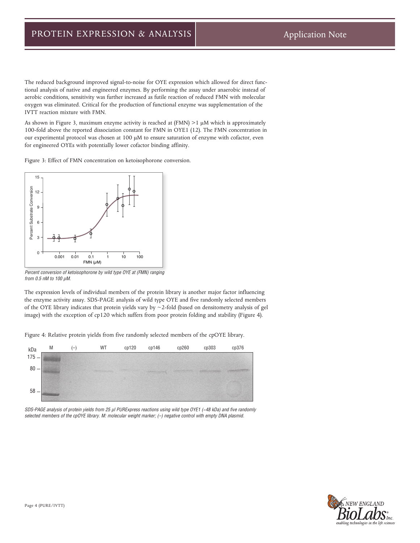The reduced background improved signal-to-noise for OYE expression which allowed for direct functional analysis of native and engineered enzymes. By performing the assay under anaerobic instead of aerobic conditions, sensitivity was further increased as futile reaction of reduced FMN with molecular oxygen was eliminated. Critical for the production of functional enzyme was supplementation of the IVTT reaction mixture with FMN.

As shown in Figure 3, maximum enzyme activity is reached at  $(FMN)$  >1  $\mu$ M which is approximately 100-fold above the reported dissociation constant for FMN in OYE1 (12). The FMN concentration in our experimental protocol was chosen at 100 µM to ensure saturation of enzyme with cofactor, even for engineered OYEs with potentially lower cofactor binding affinity.

Figure 3: Effect of FMN concentration on ketoisophorone conversion.



*Percent conversion of ketoisophorone by wild type OYE at (FMN) ranging from 0.5 nM to 100 μM.*

The expression levels of individual members of the protein library is another major factor influencing the enzyme activity assay. SDS-PAGE analysis of wild type OYE and five randomly selected members of the OYE library indicates that protein yields vary by ~2-fold (based on densitometry analysis of gel image) with the exception of cp120 which suffers from poor protein folding and stability (Figure 4).

Figure 4: Relative protein yields from five randomly selected members of the cpOYE library.



*SDS-PAGE analysis of protein yields from 25 µl PURExpress reactions using wild type OYE1 (~48 kDa) and five randomly selected members of the cpOYE library. M: molecular weight marker; (–) negative control with empty DNA plasmid.*

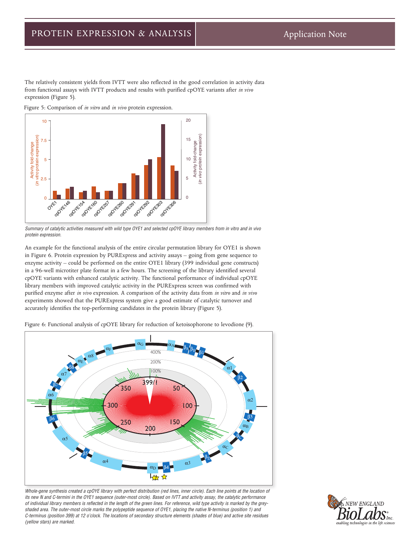The relatively consistent yields from IVTT were also reflected in the good correlation in activity data from functional assays with IVTT products and results with purified cpOYE variants after *in vivo* expression (Figure 5).

Figure 5: Comparison of *in vitro* and *in vivo* protein expression.



*Summary of catalytic activities measured with wild type OYE1 and selected cpOYE library members from in vitro and in vivo protein expression.*

An example for the functional analysis of the entire circular permutation library for OYE1 is shown in Figure 6. Protein expression by PURExpress and activity assays – going from gene sequence to enzyme activity – could be performed on the entire OYE1 library (399 individual gene constructs) in a 96-well microtiter plate format in a few hours. The screening of the library identified several cpOYE variants with enhanced catalytic activity. The functional performance of individual cpOYE library members with improved catalytic activity in the PURExpress screen was confirmed with purified enzyme after *in vivo* expression. A comparison of the activity data from *in vitro* and *in vivo* experiments showed that the PURExpress system give a good estimate of catalytic turnover and accurately identifies the top-performing candidates in the protein library (Figure 5).

Figure 6: Functional analysis of cpOYE library for reduction of ketoisophorone to levodione (9).



Whole-gene synthesis created a cpOYE library with perfect distribution (red lines, inner circle). Each line points at the location of *its new N and C-termini in the OYE1 sequence (outer-most circle). Based on IVTT and activity assay, the catalytic performance of individual library members is reflected in the length of the green lines. For reference, wild type activity is marked by the greyshaded area. The outer-most circle marks the polypeptide sequence of OYE1, placing the native N-terminus (position 1) and C-terminus (position 399) at 12 o'clock. The locations of secondary structure elements (shades of blue) and active site residues (yellow stars) are marked.*